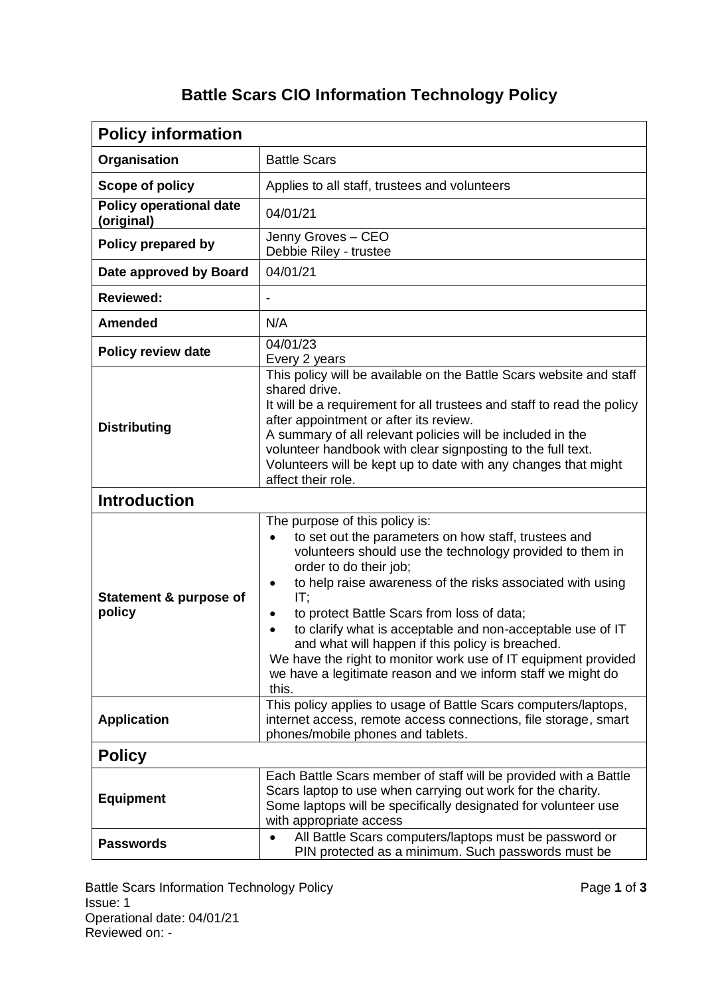## **Battle Scars CIO Information Technology Policy**

| <b>Policy information</b>                    |                                                                                                                                                                                                                                                                                                                                                                                                                                                                                                                                                                                    |  |
|----------------------------------------------|------------------------------------------------------------------------------------------------------------------------------------------------------------------------------------------------------------------------------------------------------------------------------------------------------------------------------------------------------------------------------------------------------------------------------------------------------------------------------------------------------------------------------------------------------------------------------------|--|
| Organisation                                 | <b>Battle Scars</b>                                                                                                                                                                                                                                                                                                                                                                                                                                                                                                                                                                |  |
| Scope of policy                              | Applies to all staff, trustees and volunteers                                                                                                                                                                                                                                                                                                                                                                                                                                                                                                                                      |  |
| <b>Policy operational date</b><br>(original) | 04/01/21                                                                                                                                                                                                                                                                                                                                                                                                                                                                                                                                                                           |  |
| Policy prepared by                           | Jenny Groves - CEO<br>Debbie Riley - trustee                                                                                                                                                                                                                                                                                                                                                                                                                                                                                                                                       |  |
| Date approved by Board                       | 04/01/21                                                                                                                                                                                                                                                                                                                                                                                                                                                                                                                                                                           |  |
| <b>Reviewed:</b>                             |                                                                                                                                                                                                                                                                                                                                                                                                                                                                                                                                                                                    |  |
| <b>Amended</b>                               | N/A                                                                                                                                                                                                                                                                                                                                                                                                                                                                                                                                                                                |  |
| <b>Policy review date</b>                    | 04/01/23<br>Every 2 years                                                                                                                                                                                                                                                                                                                                                                                                                                                                                                                                                          |  |
| <b>Distributing</b>                          | This policy will be available on the Battle Scars website and staff<br>shared drive.<br>It will be a requirement for all trustees and staff to read the policy<br>after appointment or after its review.<br>A summary of all relevant policies will be included in the<br>volunteer handbook with clear signposting to the full text.<br>Volunteers will be kept up to date with any changes that might<br>affect their role.                                                                                                                                                      |  |
| <b>Introduction</b>                          |                                                                                                                                                                                                                                                                                                                                                                                                                                                                                                                                                                                    |  |
| Statement & purpose of<br>policy             | The purpose of this policy is:<br>to set out the parameters on how staff, trustees and<br>volunteers should use the technology provided to them in<br>order to do their job;<br>to help raise awareness of the risks associated with using<br>٠<br>IT;<br>to protect Battle Scars from loss of data;<br>٠<br>to clarify what is acceptable and non-acceptable use of IT<br>$\bullet$<br>and what will happen if this policy is breached.<br>We have the right to monitor work use of IT equipment provided<br>we have a legitimate reason and we inform staff we might do<br>this. |  |
| <b>Application</b>                           | This policy applies to usage of Battle Scars computers/laptops,<br>internet access, remote access connections, file storage, smart<br>phones/mobile phones and tablets.                                                                                                                                                                                                                                                                                                                                                                                                            |  |
| <b>Policy</b>                                |                                                                                                                                                                                                                                                                                                                                                                                                                                                                                                                                                                                    |  |
| <b>Equipment</b>                             | Each Battle Scars member of staff will be provided with a Battle<br>Scars laptop to use when carrying out work for the charity.<br>Some laptops will be specifically designated for volunteer use<br>with appropriate access                                                                                                                                                                                                                                                                                                                                                       |  |
| <b>Passwords</b>                             | All Battle Scars computers/laptops must be password or<br>$\bullet$<br>PIN protected as a minimum. Such passwords must be                                                                                                                                                                                                                                                                                                                                                                                                                                                          |  |

Battle Scars Information Technology Policy **Page 1** of **3** Page 1 of **3** Issue: 1 Operational date: 04/01/21 Reviewed on: -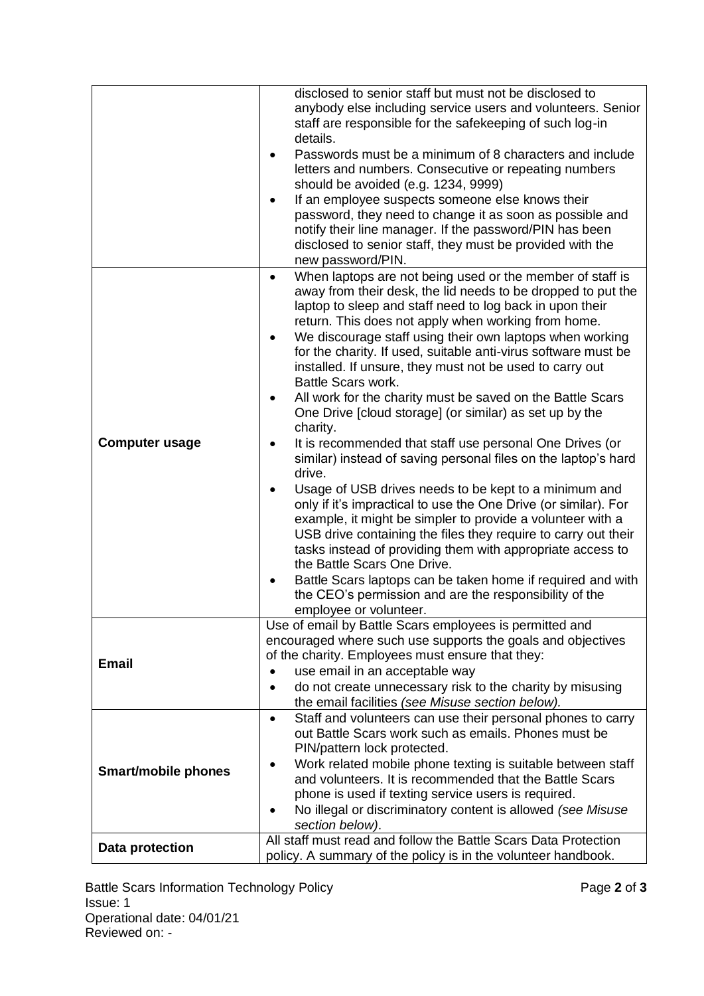|                       | disclosed to senior staff but must not be disclosed to<br>anybody else including service users and volunteers. Senior<br>staff are responsible for the safekeeping of such log-in<br>details.                                                                                                                                                                      |
|-----------------------|--------------------------------------------------------------------------------------------------------------------------------------------------------------------------------------------------------------------------------------------------------------------------------------------------------------------------------------------------------------------|
|                       | Passwords must be a minimum of 8 characters and include<br>letters and numbers. Consecutive or repeating numbers<br>should be avoided (e.g. 1234, 9999)                                                                                                                                                                                                            |
|                       | If an employee suspects someone else knows their<br>$\bullet$                                                                                                                                                                                                                                                                                                      |
|                       | password, they need to change it as soon as possible and<br>notify their line manager. If the password/PIN has been<br>disclosed to senior staff, they must be provided with the<br>new password/PIN.                                                                                                                                                              |
|                       | When laptops are not being used or the member of staff is<br>$\bullet$<br>away from their desk, the lid needs to be dropped to put the                                                                                                                                                                                                                             |
|                       | laptop to sleep and staff need to log back in upon their<br>return. This does not apply when working from home.                                                                                                                                                                                                                                                    |
| <b>Computer usage</b> | We discourage staff using their own laptops when working<br>$\bullet$                                                                                                                                                                                                                                                                                              |
|                       | for the charity. If used, suitable anti-virus software must be<br>installed. If unsure, they must not be used to carry out<br>Battle Scars work.                                                                                                                                                                                                                   |
|                       | All work for the charity must be saved on the Battle Scars<br>$\bullet$<br>One Drive [cloud storage] (or similar) as set up by the                                                                                                                                                                                                                                 |
|                       | charity.<br>It is recommended that staff use personal One Drives (or<br>$\bullet$                                                                                                                                                                                                                                                                                  |
|                       | similar) instead of saving personal files on the laptop's hard<br>drive.                                                                                                                                                                                                                                                                                           |
|                       | Usage of USB drives needs to be kept to a minimum and<br>$\bullet$<br>only if it's impractical to use the One Drive (or similar). For<br>example, it might be simpler to provide a volunteer with a<br>USB drive containing the files they require to carry out their<br>tasks instead of providing them with appropriate access to<br>the Battle Scars One Drive. |
|                       | Battle Scars laptops can be taken home if required and with<br>the CEO's permission and are the responsibility of the<br>employee or volunteer.                                                                                                                                                                                                                    |
|                       | Use of email by Battle Scars employees is permitted and                                                                                                                                                                                                                                                                                                            |
| <b>Email</b>          | encouraged where such use supports the goals and objectives<br>of the charity. Employees must ensure that they:                                                                                                                                                                                                                                                    |
|                       | use email in an acceptable way<br>$\bullet$                                                                                                                                                                                                                                                                                                                        |
|                       | do not create unnecessary risk to the charity by misusing<br>$\bullet$<br>the email facilities (see Misuse section below).                                                                                                                                                                                                                                         |
| Smart/mobile phones   | Staff and volunteers can use their personal phones to carry<br>$\bullet$<br>out Battle Scars work such as emails. Phones must be                                                                                                                                                                                                                                   |
|                       | PIN/pattern lock protected.<br>Work related mobile phone texting is suitable between staff<br>$\bullet$                                                                                                                                                                                                                                                            |
|                       | and volunteers. It is recommended that the Battle Scars                                                                                                                                                                                                                                                                                                            |
|                       | phone is used if texting service users is required.                                                                                                                                                                                                                                                                                                                |
|                       | No illegal or discriminatory content is allowed (see Misuse<br>section below).                                                                                                                                                                                                                                                                                     |
| Data protection       | All staff must read and follow the Battle Scars Data Protection                                                                                                                                                                                                                                                                                                    |
|                       | policy. A summary of the policy is in the volunteer handbook.                                                                                                                                                                                                                                                                                                      |

Battle Scars Information Technology Policy **Page 2** of 3 Issue: 1 Operational date: 04/01/21 Reviewed on: -